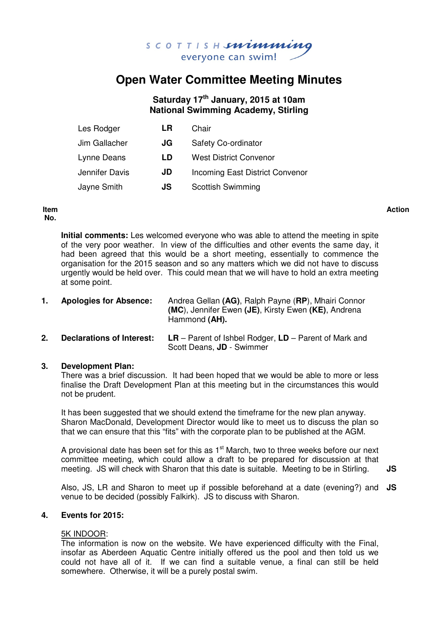

# **Open Water Committee Meeting Minutes**

# **Saturday 17th January, 2015 at 10am National Swimming Academy, Stirling**

| Les Rodger     | LR | Chair                                  |
|----------------|----|----------------------------------------|
| Jim Gallacher  | JG | <b>Safety Co-ordinator</b>             |
| Lynne Deans    | LD | <b>West District Convenor</b>          |
| Jennifer Davis | JD | <b>Incoming East District Convenor</b> |
| Jayne Smith    | JS | <b>Scottish Swimming</b>               |

#### **Item No.**

**Action**

**Initial comments:** Les welcomed everyone who was able to attend the meeting in spite of the very poor weather. In view of the difficulties and other events the same day, it had been agreed that this would be a short meeting, essentially to commence the organisation for the 2015 season and so any matters which we did not have to discuss urgently would be held over. This could mean that we will have to hold an extra meeting at some point.

| <b>Apologies for Absence:</b> | Andrea Gellan (AG), Ralph Payne (RP), Mhairi Connor |
|-------------------------------|-----------------------------------------------------|
|                               | (MC), Jennifer Ewen (JE), Kirsty Ewen (KE), Andrena |
|                               | Hammond (AH).                                       |

**2. Declarations of Interest: LR** – Parent of Ishbel Rodger, **LD** – Parent of Mark and Scott Deans, **JD** - Swimmer

#### **3. Development Plan:**

There was a brief discussion. It had been hoped that we would be able to more or less finalise the Draft Development Plan at this meeting but in the circumstances this would not be prudent.

It has been suggested that we should extend the timeframe for the new plan anyway. Sharon MacDonald, Development Director would like to meet us to discuss the plan so that we can ensure that this "fits" with the corporate plan to be published at the AGM.

A provisional date has been set for this as  $1<sup>st</sup>$  March, two to three weeks before our next committee meeting, which could allow a draft to be prepared for discussion at that meeting. JS will check with Sharon that this date is suitable. Meeting to be in Stirling. **JS** 

Also, JS, LR and Sharon to meet up if possible beforehand at a date (evening?) and **JS**  venue to be decided (possibly Falkirk). JS to discuss with Sharon.

#### **4. Events for 2015:**

#### 5K INDOOR:

The information is now on the website. We have experienced difficulty with the Final, insofar as Aberdeen Aquatic Centre initially offered us the pool and then told us we could not have all of it. If we can find a suitable venue, a final can still be held somewhere. Otherwise, it will be a purely postal swim.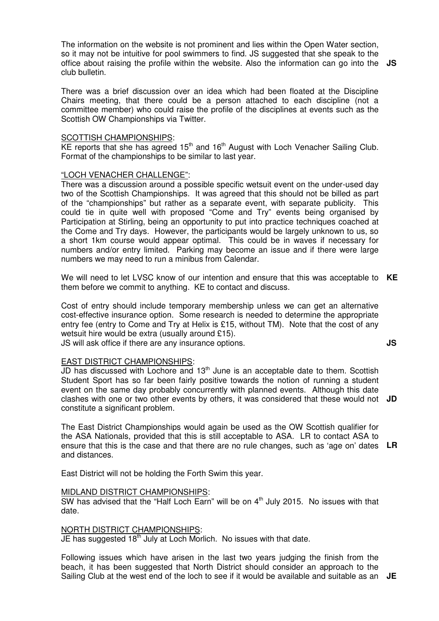The information on the website is not prominent and lies within the Open Water section, so it may not be intuitive for pool swimmers to find. JS suggested that she speak to the office about raising the profile within the website. Also the information can go into the **JS**  club bulletin.

There was a brief discussion over an idea which had been floated at the Discipline Chairs meeting, that there could be a person attached to each discipline (not a committee member) who could raise the profile of the disciplines at events such as the Scottish OW Championships via Twitter.

#### SCOTTISH CHAMPIONSHIPS:

KE reports that she has agreed  $15<sup>th</sup>$  and  $16<sup>th</sup>$  August with Loch Venacher Sailing Club. Format of the championships to be similar to last year.

#### "LOCH VENACHER CHALLENGE":

There was a discussion around a possible specific wetsuit event on the under-used day two of the Scottish Championships. It was agreed that this should not be billed as part of the "championships" but rather as a separate event, with separate publicity. This could tie in quite well with proposed "Come and Try" events being organised by Participation at Stirling, being an opportunity to put into practice techniques coached at the Come and Try days. However, the participants would be largely unknown to us, so a short 1km course would appear optimal. This could be in waves if necessary for numbers and/or entry limited. Parking may become an issue and if there were large numbers we may need to run a minibus from Calendar.

We will need to let LVSC know of our intention and ensure that this was acceptable to **KE**  them before we commit to anything. KE to contact and discuss.

Cost of entry should include temporary membership unless we can get an alternative cost-effective insurance option. Some research is needed to determine the appropriate entry fee (entry to Come and Try at Helix is £15, without TM). Note that the cost of any wetsuit hire would be extra (usually around £15).

JS will ask office if there are any insurance options.

#### EAST DISTRICT CHAMPIONSHIPS:

JD has discussed with Lochore and 13<sup>th</sup> June is an acceptable date to them. Scottish Student Sport has so far been fairly positive towards the notion of running a student event on the same day probably concurrently with planned events. Although this date clashes with one or two other events by others, it was considered that these would not **JD**  constitute a significant problem.

The East District Championships would again be used as the OW Scottish qualifier for the ASA Nationals, provided that this is still acceptable to ASA. LR to contact ASA to ensure that this is the case and that there are no rule changes, such as 'age on' dates **LR**  and distances.

East District will not be holding the Forth Swim this year.

#### MIDLAND DISTRICT CHAMPIONSHIPS:

SW has advised that the "Half Loch Earn" will be on  $4<sup>th</sup>$  July 2015. No issues with that date.

#### NORTH DISTRICT CHAMPIONSHIPS:

JE has suggested  $18<sup>th</sup>$  July at Loch Morlich. No issues with that date.

Following issues which have arisen in the last two years judging the finish from the beach, it has been suggested that North District should consider an approach to the Sailing Club at the west end of the loch to see if it would be available and suitable as an **JE** 

**JS**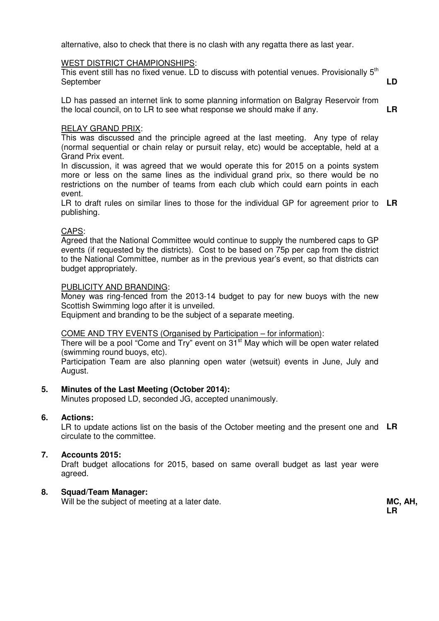alternative, also to check that there is no clash with any regatta there as last year.

#### WEST DISTRICT CHAMPIONSHIPS:

This event still has no fixed venue. LD to discuss with potential venues. Provisionally  $5<sup>th</sup>$ **September** 

LD has passed an internet link to some planning information on Balgray Reservoir from the local council, on to LR to see what response we should make if any.

#### RELAY GRAND PRIX:

This was discussed and the principle agreed at the last meeting. Any type of relay (normal sequential or chain relay or pursuit relay, etc) would be acceptable, held at a Grand Prix event.

In discussion, it was agreed that we would operate this for 2015 on a points system more or less on the same lines as the individual grand prix, so there would be no restrictions on the number of teams from each club which could earn points in each event.

LR to draft rules on similar lines to those for the individual GP for agreement prior to **LR**  publishing.

#### CAPS:

Agreed that the National Committee would continue to supply the numbered caps to GP events (if requested by the districts). Cost to be based on 75p per cap from the district to the National Committee, number as in the previous year's event, so that districts can budget appropriately.

#### PUBLICITY AND BRANDING:

Money was ring-fenced from the 2013-14 budget to pay for new buoys with the new Scottish Swimming logo after it is unveiled.

Equipment and branding to be the subject of a separate meeting.

#### COME AND TRY EVENTS (Organised by Participation – for information):

There will be a pool "Come and Try" event on  $31<sup>st</sup>$  May which will be open water related (swimming round buoys, etc).

Participation Team are also planning open water (wetsuit) events in June, July and August.

#### **5. Minutes of the Last Meeting (October 2014):**

Minutes proposed LD, seconded JG, accepted unanimously.

#### **6. Actions:**

LR to update actions list on the basis of the October meeting and the present one and **LR**  circulate to the committee.

#### **7. Accounts 2015:**

Draft budget allocations for 2015, based on same overall budget as last year were agreed.

#### **8. Squad/Team Manager:**

Will be the subject of meeting at a later date. **MC, AH, MC, AH,** 

**LR** 

**LD** 

**LR**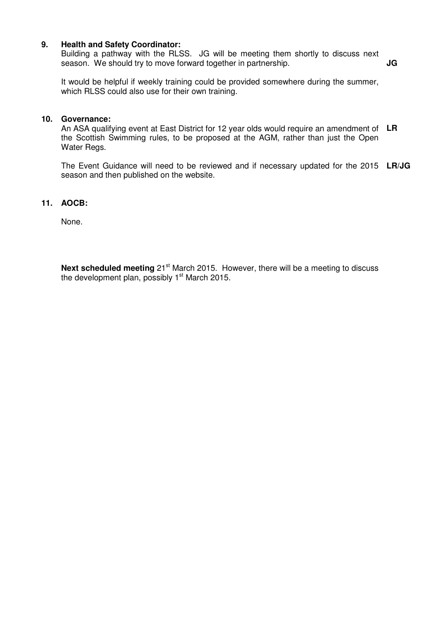#### **9. Health and Safety Coordinator:**

Building a pathway with the RLSS. JG will be meeting them shortly to discuss next season. We should try to move forward together in partnership. **JG** 

It would be helpful if weekly training could be provided somewhere during the summer, which RLSS could also use for their own training.

#### **10. Governance:**

An ASA qualifying event at East District for 12 year olds would require an amendment of **LR**  the Scottish Swimming rules, to be proposed at the AGM, rather than just the Open Water Regs.

The Event Guidance will need to be reviewed and if necessary updated for the 2015 **LR/JG**  season and then published on the website.

#### **11. AOCB:**

None.

**Next scheduled meeting** 21<sup>st</sup> March 2015. However, there will be a meeting to discuss the development plan, possibly  $1<sup>st</sup>$  March 2015.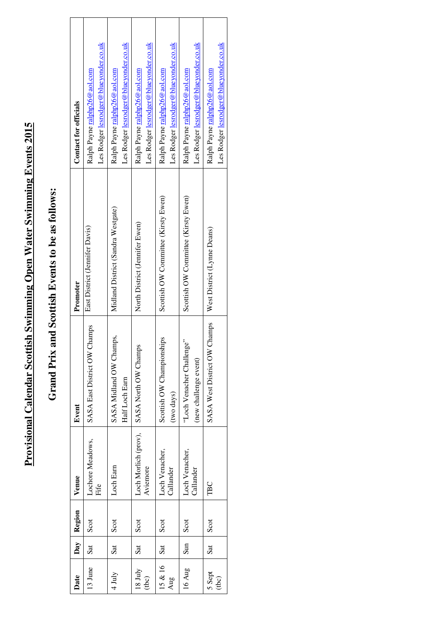# Provisional Calendar Scottish Swimming Open Water Swimming Events 2015 **Provisional Calendar Scottish Swimming Open Water Swimming Events 2015**

# Grand Prix and Scottish Events to be as follows: **Grand Prix and Scottish Events to be as follows:**

| Date              | Day | Region | Venue                            | Event                                              | Promoter                            | Contact for officials                                                        |
|-------------------|-----|--------|----------------------------------|----------------------------------------------------|-------------------------------------|------------------------------------------------------------------------------|
| 13 June           | Sat | Scot   | Lochore Meadows,<br>Fife         | SASA East District OW Champs                       | East District (Jennifer Davis)      | Les Rodger lesrodger@blueyonder.co.uk<br>Ralph Payne <u>ralphp26@aol.com</u> |
| $4$ July          | Sat | Scot   | Loch Earn                        | SASA Midland OW Champs,<br>Half Loch Earn          | Midland District (Sandra Westgate)  | Les Rodger lesrodger@blueyonder.co.uk<br>Ralph Payne ralphp26@aol.com        |
| $18$ July<br>(bc) | Sat | Scot   | Loch Morlich (prov),<br>Aviemore | SASA North OW Champs                               | North District (Jennifer Ewen)      | Les Rodger lesrodger@blueyonder.co.uk<br>Ralph Payne <u>ralphp26@aol.com</u> |
| 15 & 16<br>Aug    | Sat | Scot   | Loch Venacher,<br>Callander      | g<br>Scottish OW Championship<br>(two days)        | Scottish OW Committee (Kirsty Ewen) | Les Rodger lesrodger@blueyonder.co.uk<br>Ralph Payne ralphp26@aol.com        |
| 16 Aug            | Sun | Scot   | Loch Venacher,<br>Callander      | 'Loch Venacher Challenge'<br>(new challenge event) | Scottish OW Committee (Kirsty Ewen) | Les Rodger lesrodger@blueyonder.co.uk<br>Ralph Payne <u>ralphp26@aol.com</u> |
| 5 Sept<br>(bc)    | Sat | Scot   | TBC                              | SASA West District OW Champs                       | West District (Lynne Deans)         | Les Rodger lesrodger@blueyonder.co.uk<br>Ralph Payne ralphp26@aol.com        |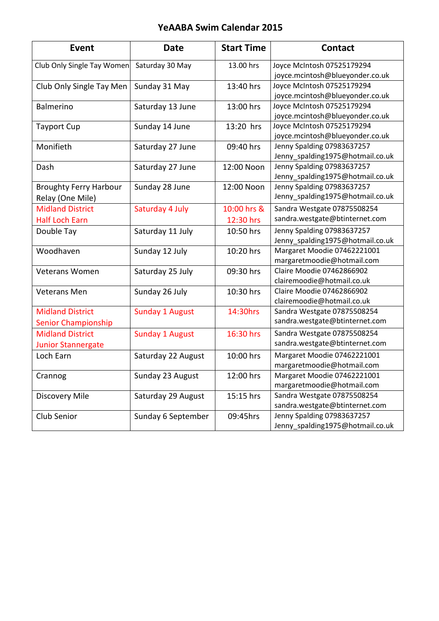# YeAABA Swim Calendar 2015

| Event                         | <b>Date</b>            | <b>Start Time</b> | <b>Contact</b>                   |
|-------------------------------|------------------------|-------------------|----------------------------------|
| Club Only Single Tay Women    | Saturday 30 May        | 13.00 hrs         | Joyce McIntosh 07525179294       |
|                               |                        |                   | joyce.mcintosh@blueyonder.co.uk  |
| Club Only Single Tay Men      | Sunday 31 May          | 13:40 hrs         | Joyce McIntosh 07525179294       |
|                               |                        |                   | joyce.mcintosh@blueyonder.co.uk  |
| Balmerino                     | Saturday 13 June       | 13:00 hrs         | Joyce McIntosh 07525179294       |
|                               |                        |                   | joyce.mcintosh@blueyonder.co.uk  |
| <b>Tayport Cup</b>            | Sunday 14 June         | 13:20 hrs         | Joyce McIntosh 07525179294       |
|                               |                        |                   | joyce.mcintosh@blueyonder.co.uk  |
| Monifieth                     | Saturday 27 June       | 09:40 hrs         | Jenny Spalding 07983637257       |
|                               |                        |                   | Jenny_spalding1975@hotmail.co.uk |
| Dash                          | Saturday 27 June       | 12:00 Noon        | Jenny Spalding 07983637257       |
|                               |                        |                   | Jenny_spalding1975@hotmail.co.uk |
| <b>Broughty Ferry Harbour</b> | Sunday 28 June         | 12:00 Noon        | Jenny Spalding 07983637257       |
| Relay (One Mile)              |                        |                   | Jenny_spalding1975@hotmail.co.uk |
| <b>Midland District</b>       | Saturday 4 July        | 10:00 hrs &       | Sandra Westgate 07875508254      |
| <b>Half Loch Earn</b>         |                        | 12:30 hrs         | sandra.westgate@btinternet.com   |
| Double Tay                    | Saturday 11 July       | 10:50 hrs         | Jenny Spalding 07983637257       |
|                               |                        |                   | Jenny_spalding1975@hotmail.co.uk |
| Woodhaven                     | Sunday 12 July         | 10:20 hrs         | Margaret Moodie 07462221001      |
|                               |                        |                   | margaretmoodie@hotmail.com       |
| Veterans Women                | Saturday 25 July       | 09:30 hrs         | Claire Moodie 07462866902        |
|                               |                        |                   | clairemoodie@hotmail.co.uk       |
| Veterans Men                  | Sunday 26 July         | 10:30 hrs         | Claire Moodie 07462866902        |
|                               |                        |                   | clairemoodie@hotmail.co.uk       |
| <b>Midland District</b>       | <b>Sunday 1 August</b> | 14:30hrs          | Sandra Westgate 07875508254      |
| Senior Championship           |                        |                   | sandra.westgate@btinternet.com   |
| <b>Midland District</b>       | <b>Sunday 1 August</b> | 16:30 hrs         | Sandra Westgate 07875508254      |
| <b>Junior Stannergate</b>     |                        |                   | sandra.westgate@btinternet.com   |
| Loch Earn                     | Saturday 22 August     | 10:00 hrs         | Margaret Moodie 07462221001      |
|                               |                        |                   | margaretmoodie@hotmail.com       |
| Crannog                       | Sunday 23 August       | 12:00 hrs         | Margaret Moodie 07462221001      |
|                               |                        |                   | margaretmoodie@hotmail.com       |
| Discovery Mile                | Saturday 29 August     | 15:15 hrs         | Sandra Westgate 07875508254      |
|                               |                        |                   | sandra.westgate@btinternet.com   |
| Club Senior                   | Sunday 6 September     | 09:45hrs          | Jenny Spalding 07983637257       |
|                               |                        |                   | Jenny_spalding1975@hotmail.co.uk |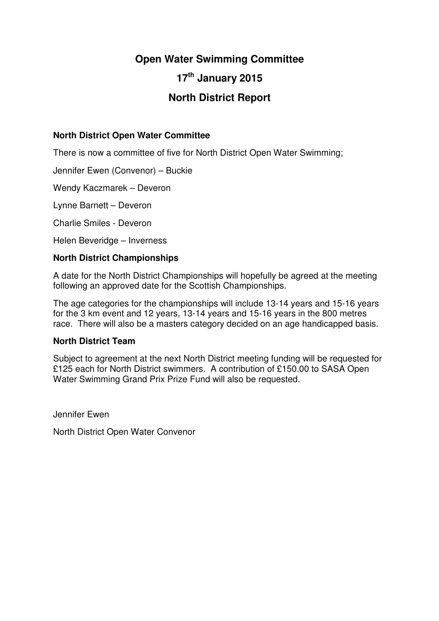# **Open Water Swimming Committee**

# **17th January 2015**

# **North District Report**

## **North District Open Water Committee**

There is now a committee of five for North District Open Water Swimming;

Jennifer Ewen (Convenor) – Buckie

Wendy Kaczmarek – Deveron

Lynne Barnett – Deveron

Charlie Smiles - Deveron

Helen Beveridge – Inverness

### **North District Championships**

A date for the North District Championships will hopefully be agreed at the meeting following an approved date for the Scottish Championships.

The age categories for the championships will include 13-14 years and 15-16 years for the 3 km event and 12 years, 13-14 years and 15-16 years in the 800 metres race. There will also be a masters category decided on an age handicapped basis.

#### **North District Team**

Subject to agreement at the next North District meeting funding will be requested for £125 each for North District swimmers. A contribution of £150.00 to SASA Open Water Swimming Grand Prix Prize Fund will also be requested.

Jennifer Ewen

North District Open Water Convenor